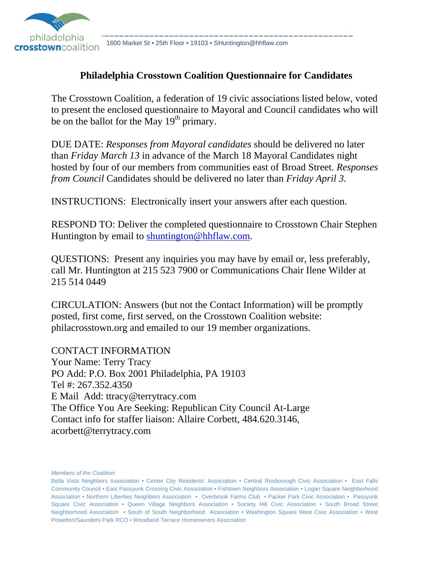

1600 Market St • 25th Floor • 19103 • SHuntington@hhflaw.com

#### **Philadelphia Crosstown Coalition Questionnaire for Candidates**

The Crosstown Coalition, a federation of 19 civic associations listed below, voted to present the enclosed questionnaire to Mayoral and Council candidates who will be on the ballot for the May  $19<sup>th</sup>$  primary.

DUE DATE: *Responses from Mayoral candidates* should be delivered no later than *Friday March 13* in advance of the March 18 Mayoral Candidates night hosted by four of our members from communities east of Broad Street. *Responses from Council* Candidates should be delivered no later than *Friday April 3.*

INSTRUCTIONS: Electronically insert your answers after each question.

RESPOND TO: Deliver the completed questionnaire to Crosstown Chair Stephen Huntington by email to shuntington@hhflaw.com.

QUESTIONS: Present any inquiries you may have by email or, less preferably, call Mr. Huntington at 215 523 7900 or Communications Chair Ilene Wilder at 215 514 0449

CIRCULATION: Answers (but not the Contact Information) will be promptly posted, first come, first served, on the Crosstown Coalition website: philacrosstown.org and emailed to our 19 member organizations.

CONTACT INFORMATION Your Name: Terry Tracy PO Add: P.O. Box 2001 Philadelphia, PA 19103 Tel #: 267.352.4350 E Mail Add: ttracy@terrytracy.com The Office You Are Seeking: Republican City Council At-Large Contact info for staffer liaison: Allaire Corbett, 484.620.3146, acorbett@terrytracy.com

*Members of the Coalition:*

Bella Vista Neighbors Association • Center City Residents' Association • Central Roxborough Civic Association • East Falls Community Council • East Passyunk Crossing Civic Association • Fishtown Neighbors Association • Logan Square Neighborhood Association • Northern Liberties Neighbors Association • Overbrook Farms Club • Packer Park Civic Association • Passyunk Square Civic Association • Queen Village Neighbors Association • Society Hill Civic Association • South Broad Street Neighborhood Association • South of South Neighborhood Association • Washington Square West Civic Association • West Powelton/Saunders Park RCO • Woodland Terrace Homeowners Association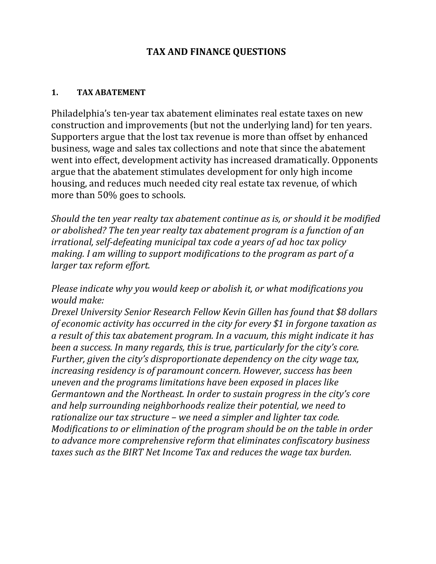### **TAX AND FINANCE QUESTIONS**

#### **1. TAX ABATEMENT**

Philadelphia's ten-year tax abatement eliminates real estate taxes on new construction and improvements (but not the underlying land) for ten years. Supporters argue that the lost tax revenue is more than offset by enhanced business, wage and sales tax collections and note that since the abatement went into effect, development activity has increased dramatically. Opponents argue that the abatement stimulates development for only high income housing, and reduces much needed city real estate tax revenue, of which more than 50% goes to schools.

*Should the ten year realty tax abatement continue as is, or should it be modified or abolished? The ten year realty tax abatement program is a function of an irrational, self‐defeating municipal tax code a years of ad hoc tax policy making. I am willing to support modifications to the program as part of a larger tax reform effort.* 

*Please indicate why you would keep or abolish it, or what modifications you would* make:

*Drexel University Senior Research Fellow Kevin Gillen has found that \$8 dollars of economic activity has occurred in the city for every \$1 in forgone taxation as a result of this tax abatement program. In a vacuum, this might indicate it has been a success. In many regards, this is true, particularly for the city's core. Further, given the city's disproportionate dependency on the city wage tax, increasing residency is of paramount concern. However, success has been uneven and the programs limitations have been exposed in places like Germantown and the Northeast. In order to sustain progress in the city's core and help surrounding neighborhoods realize their potential, we need to rationalize our tax structure – we need a simpler and lighter tax code. Modifications to or elimination of the program should be on the table in order to advance more comprehensive reform that eliminates confiscatory business taxes such as the BIRT Net Income Tax and reduces the wage tax burden.*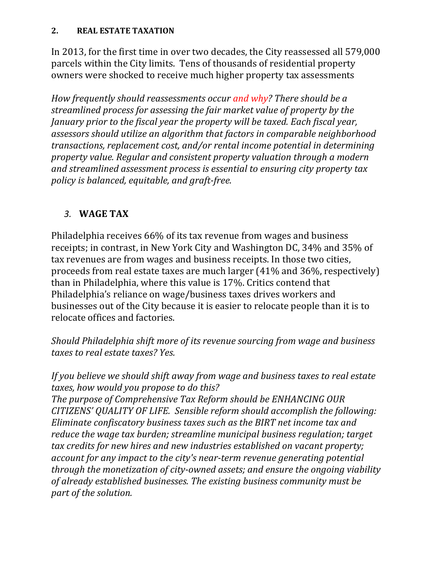In 2013, for the first time in over two decades, the City reassessed all 579,000 parcels within the City limits. Tens of thousands of residential property owners were shocked to receive much higher property tax assessments

*How frequently should reassessments occur and why? There should be a streamlined process for assessing the fair market value of property by the January prior to the fiscal year the property will be taxed. Each fiscal year, assessors should utilize an algorithm that factors in comparable neighborhood transactions, replacement cost, and/or rental income potential in determining property value. Regular and consistent property valuation through a modern and streamlined assessment process is essential to ensuring city property tax policy is balanced, equitable, and graft‐free.* 

# *3.* **WAGE TAX**

Philadelphia receives 66% of its tax revenue from wages and business receipts; in contrast, in New York City and Washington DC, 34% and 35% of tax revenues are from wages and business receipts. In those two cities, proceeds from real estate taxes are much larger  $(41\%$  and  $36\%$ , respectively) than in Philadelphia, where this value is 17%. Critics contend that Philadelphia's reliance on wage/business taxes drives workers and businesses out of the City because it is easier to relocate people than it is to relocate offices and factories.

*Should Philadelphia shift more of its revenue sourcing from wage and business taxes to real estate taxes? Yes.*

*If you believe we should shift away from wage and business taxes to real estate taxes, how would you propose to do this?* 

*The purpose of Comprehensive Tax Reform should be ENHANCING OUR CITIZENS' QUALITY OF LIFE. Sensible reform should accomplish the following: Eliminate confiscatory business taxes such as the BIRT net income tax and reduce the wage tax burden; streamline municipal business regulation; target tax credits for new hires and new industries established on vacant property; account for any impact to the city's near‐term revenue generating potential through the monetization of city‐owned assets; and ensure the ongoing viability of already established businesses. The existing business community must be part of the solution.*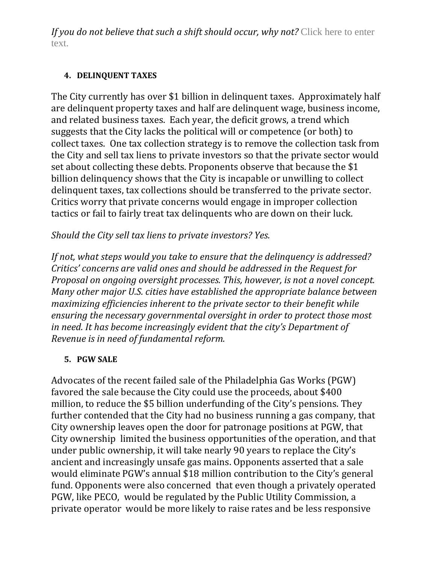*If you do not believe that such a shift should occur, why not?* Click here to enter text.

#### **4. DELINQUENT TAXES**

The City currently has over \$1 billion in delinquent taxes. Approximately half are delinquent property taxes and half are delinquent wage, business income, and related business taxes. Each year, the deficit grows, a trend which suggests that the City lacks the political will or competence (or both) to collect taxes. One tax collection strategy is to remove the collection task from the City and sell tax liens to private investors so that the private sector would set about collecting these debts. Proponents observe that because the \$1 billion delinquency shows that the City is incapable or unwilling to collect delinquent taxes, tax collections should be transferred to the private sector. Critics worry that private concerns would engage in improper collection tactics or fail to fairly treat tax delinquents who are down on their luck.

# *Should the City sell tax liens to private investors? Yes.*

*If not, what steps would you take to ensure that the delinquency is addressed? Critics' concerns are valid ones and should be addressed in the Request for Proposal on ongoing oversight processes. This, however, is not a novel concept. Many other major U.S. cities have established the appropriate balance between maximizing efficiencies inherent to the private sector to their benefit while ensuring the necessary governmental oversight in order to protect those most in need. It has become increasingly evident that the city's Department of Revenue is in need of fundamental reform.* 

# **5. PGW SALE**

Advocates of the recent failed sale of the Philadelphia Gas Works (PGW) favored the sale because the City could use the proceeds, about \$400 million, to reduce the \$5 billion underfunding of the City's pensions. They further contended that the City had no business running a gas company, that City ownership leaves open the door for patronage positions at PGW, that City ownership limited the business opportunities of the operation, and that under public ownership, it will take nearly 90 years to replace the City's ancient and increasingly unsafe gas mains. Opponents asserted that a sale would eliminate PGW's annual \$18 million contribution to the City's general fund. Opponents were also concerned that even though a privately operated PGW, like PECO, would be regulated by the Public Utility Commission, a private operator would be more likely to raise rates and be less responsive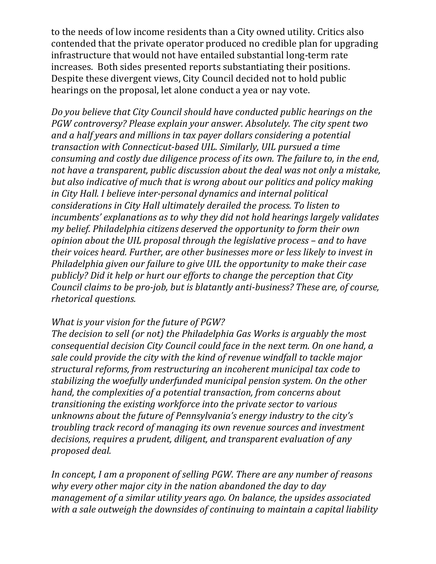to the needs of low income residents than a City owned utility. Critics also contended that the private operator produced no credible plan for upgrading infrastructure that would not have entailed substantial long-term rate increases. Both sides presented reports substantiating their positions. Despite these divergent views, City Council decided not to hold public hearings on the proposal, let alone conduct a yea or nay vote.

*Do you believe that City Council should have conducted public hearings on the PGW controversy? Please explain your answer. Absolutely. The city spent two and a half years and millions in tax payer dollars considering a potential transaction with Connecticut‐based UIL. Similarly, UIL pursued a time consuming and costly due diligence process of its own. The failure to, in the end, not have a transparent, public discussion about the deal was not only a mistake, but also indicative of much that is wrong about our politics and policy making in City Hall. I believe inter‐personal dynamics and internal political considerations in City Hall ultimately derailed the process. To listen to incumbents' explanations as to why they did not hold hearings largely validates my belief. Philadelphia citizens deserved the opportunity to form their own opinion about the UIL proposal through the legislative process – and to have their voices heard. Further, are other businesses more or less likely to invest in Philadelphia given our failure to give UIL the opportunity to make their case publicly? Did it help or hurt our efforts to change the perception that City Council claims to be pro‐job, but is blatantly anti‐business? These are, of course, rhetorical questions.* 

### *What is your vision for the future of PGW?*

*The decision to sell (or not) the Philadelphia Gas Works is arguably the most consequential decision City Council could face in the next term. On one hand, a sale could provide the city with the kind of revenue windfall to tackle major structural reforms, from restructuring an incoherent municipal tax code to stabilizing the woefully underfunded municipal pension system. On the other hand, the complexities of a potential transaction, from concerns about transitioning the existing workforce into the private sector to various unknowns about the future of Pennsylvania's energy industry to the city's troubling track record of managing its own revenue sources and investment decisions, requires a prudent, diligent, and transparent evaluation of any proposed deal.* 

*In concept, I am a proponent of selling PGW. There are any number of reasons why every other major city in the nation abandoned the day to day management of a similar utility years ago. On balance, the upsides associated with a sale outweigh the downsides of continuing to maintain a capital liability*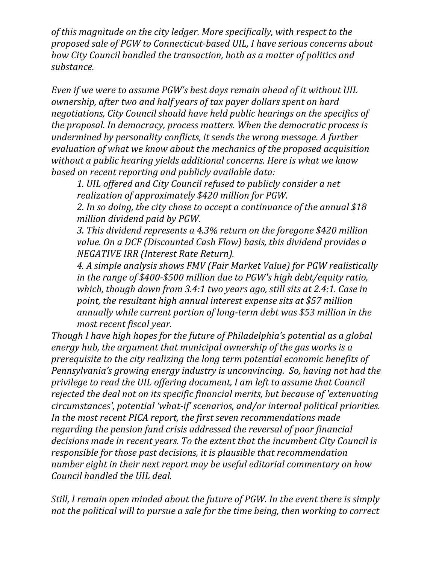*of this magnitude on the city ledger. More specifically, with respect to the proposed sale of PGW to Connecticut‐based UIL, I have serious concerns about how City Council handled the transaction, both as a matter of politics and* substance.

*Even if we were to assume PGW's best days remain ahead of it without UIL ownership, after two and half years of tax payer dollars spent on hard negotiations, City Council should have held public hearings on the specifics of the proposal. In democracy, process matters. When the democratic process is undermined by personality conflicts, it sends the wrong message. A further evaluation of what we know about the mechanics of the proposed acquisition without a public hearing yields additional concerns. Here is what we know based on recent reporting and publicly available data:*

*1. UIL offered and City Council refused to publicly consider a net realization of approximately \$420 million for PGW.*

*2. In so doing, the city chose to accept a continuance of the annual \$18 million dividend paid by PGW.* 

*3. This dividend represents a 4.3% return on the foregone \$420 million value. On a DCF (Discounted Cash Flow) basis, this dividend provides a NEGATIVE IRR (Interest Rate Return).*

*4. A simple analysis shows FMV (Fair Market Value) for PGW realistically in the range of \$400‐\$500 million due to PGW's high debt/equity ratio, which, though down from 3.4:1 two years ago, still sits at 2.4:1. Case in point, the resultant high annual interest expense sits at \$57 million annually while current portion of long‐term debt was \$53 million in the most recent fiscal year.*

*Though I have high hopes for the future of Philadelphia's potential as a global energy hub, the argument that municipal ownership of the gas works is a prerequisite to the city realizing the long term potential economic benefits of Pennsylvania's growing energy industry is unconvincing. So, having not had the privilege to read the UIL offering document, I am left to assume that Council rejected the deal not on its specific financial merits, but because of 'extenuating circumstances', potential 'what‐if' scenarios, and/or internal political priorities. In the most recent PICA report, the first seven recommendations made regarding the pension fund crisis addressed the reversal of poor financial decisions made in recent years. To the extent that the incumbent City Council is responsible for those past decisions, it is plausible that recommendation number eight in their next report may be useful editorial commentary on how Council handled the UIL deal.* 

*Still, I remain open minded about the future of PGW. In the event there is simply not the political will to pursue a sale for the time being, then working to correct*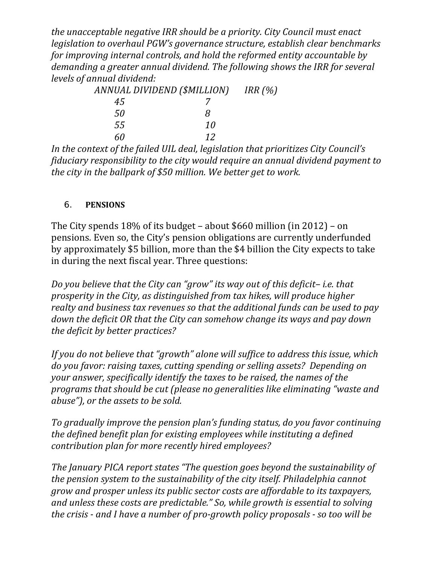*the unacceptable negative IRR should be a priority. City Council must enact legislation to overhaul PGW's governance structure, establish clear benchmarks for improving internal controls, and hold the reformed entity accountable by demanding a greater annual dividend. The following shows the IRR for several levels of annual dividend:*

| ANNUAL DIVIDEND (\$MILLION) |    | IRR $(%)$ |
|-----------------------------|----|-----------|
| 45                          |    |           |
| 50                          | х  |           |
| .5.5                        | 10 |           |
| 60                          | 12 |           |

*In the context of the failed UIL deal, legislation that prioritizes City Council's fiduciary responsibility to the city would require an annual dividend payment to the city in the ballpark of \$50 million. We better get to work.*

### 6. **PENSIONS**

The City spends  $18\%$  of its budget – about \$660 million (in 2012) – on pensions. Even so, the City's pension obligations are currently underfunded by approximately \$5 billion, more than the \$4 billion the City expects to take in during the next fiscal year. Three questions:

*Do you believe that the City can "grow" its way out of this deficit– i.e. that prosperity in the City, as distinguished from tax hikes, will produce higher realty and business tax revenues so that the additional funds can be used to pay down the deficit OR that the City can somehow change its ways and pay down the deficit by better practices?*

*If you do not believe that "growth" alone will suffice to address this issue, which do you favor: raising taxes, cutting spending or selling assets? Depending on your answer, specifically identify the taxes to be raised, the names of the programs that should be cut (please no generalities like eliminating "waste and abuse"), or the assets to be sold.*

*To gradually improve the pension plan's funding status, do you favor continuing the defined benefit plan for existing employees while instituting a defined contribution plan for more recently hired employees?* 

*The January PICA report states "The question goes beyond the sustainability of the pension system to the sustainability of the city itself. Philadelphia cannot grow and prosper unless its public sector costs are affordable to its taxpayers, and unless these costs are predictable." So, while growth is essential to solving the crisis ‐ and I have a number of pro‐growth policy proposals ‐ so too will be*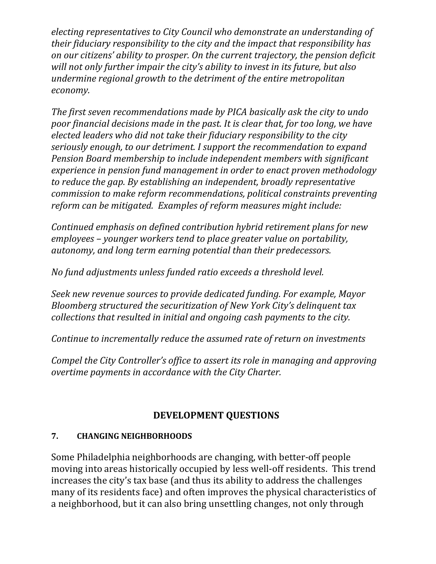*electing representatives to City Council who demonstrate an understanding of their fiduciary responsibility to the city and the impact that responsibility has on our citizens' ability to prosper. On the current trajectory, the pension deficit will not only further impair the city's ability to invest in its future, but also undermine regional growth to the detriment of the entire metropolitan*  $e**conomy.**$ 

*The first seven recommendations made by PICA basically ask the city to undo poor financial decisions made in the past. It is clear that, for too long, we have elected leaders who did not take their fiduciary responsibility to the city seriously enough, to our detriment. I support the recommendation to expand Pension Board membership to include independent members with significant experience in pension fund management in order to enact proven methodology to reduce the gap. By establishing an independent, broadly representative commission to make reform recommendations, political constraints preventing reform can be mitigated. Examples of reform measures might include:*

*Continued emphasis on defined contribution hybrid retirement plans for new employees – younger workers tend to place greater value on portability, autonomy, and long term earning potential than their predecessors.* 

*No fund adjustments unless funded ratio exceeds a threshold level.* 

*Seek new revenue sources to provide dedicated funding. For example, Mayor Bloomberg structured the securitization of New York City's delinquent tax collections that resulted in initial and ongoing cash payments to the city.* 

*Continue to incrementally reduce the assumed rate of return on investments*

*Compel the City Controller's office to assert its role in managing and approving overtime payments in accordance with the City Charter.* 

# **DEVELOPMENT QUESTIONS**

### **7. CHANGING NEIGHBORHOODS**

Some Philadelphia neighborhoods are changing, with better-off people moving into areas historically occupied by less well-off residents. This trend increases the city's tax base (and thus its ability to address the challenges many of its residents face) and often improves the physical characteristics of a neighborhood, but it can also bring unsettling changes, not only through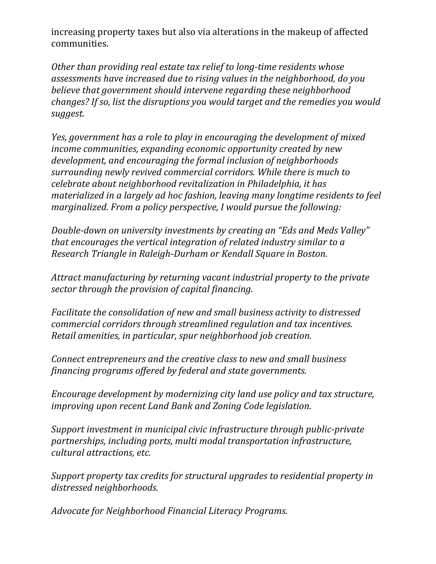increasing property taxes but also via alterations in the makeup of affected communities. 

*Other than providing real estate tax relief to long‐time residents whose assessments have increased due to rising values in the neighborhood, do you believe that government should intervene regarding these neighborhood changes? If so, list the disruptions you would target and the remedies you would suggest.* 

*Yes, government has a role to play in encouraging the development of mixed income communities, expanding economic opportunity created by new development, and encouraging the formal inclusion of neighborhoods surrounding newly revived commercial corridors. While there is much to celebrate about neighborhood revitalization in Philadelphia, it has materialized in a largely ad hoc fashion, leaving many longtime residents to feel marginalized. From a policy perspective, I would pursue the following:* 

*Double‐down on university investments by creating an "Eds and Meds Valley" that encourages the vertical integration of related industry similar to a Research Triangle in Raleigh‐Durham or Kendall Square in Boston.*

*Attract manufacturing by returning vacant industrial property to the private sector through the provision of capital financing.*

*Facilitate the consolidation of new and small business activity to distressed commercial corridors through streamlined regulation and tax incentives. Retail amenities, in particular, spur neighborhood job creation.* 

*Connect entrepreneurs and the creative class to new and small business financing programs offered by federal and state governments.* 

*Encourage development by modernizing city land use policy and tax structure, improving upon recent Land Bank and Zoning Code legislation.* 

*Support investment in municipal civic infrastructure through public‐private partnerships, including ports, multi modal transportation infrastructure, cultural attractions, etc.* 

*Support property tax credits for structural upgrades to residential property in distressed neighborhoods.*

*Advocate for Neighborhood Financial Literacy Programs.*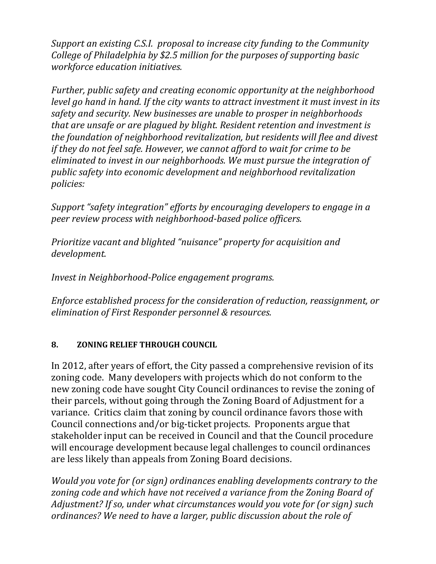*Support an existing C.S.I. proposal to increase city funding to the Community College of Philadelphia by \$2.5 million for the purposes of supporting basic workforce education initiatives.* 

*Further, public safety and creating economic opportunity at the neighborhood level go hand in hand. If the city wants to attract investment it must invest in its safety and security. New businesses are unable to prosper in neighborhoods that are unsafe or are plagued by blight. Resident retention and investment is the foundation of neighborhood revitalization, but residents will flee and divest if they do not feel safe. However, we cannot afford to wait for crime to be eliminated to invest in our neighborhoods. We must pursue the integration of public safety into economic development and neighborhood revitalization policies:* 

*Support "safety integration" efforts by encouraging developers to engage in a peer review process with neighborhood‐based police officers.* 

*Prioritize vacant and blighted "nuisance" property for acquisition and*  $development.$ 

*Invest in Neighborhood‐Police engagement programs.* 

*Enforce established process for the consideration of reduction, reassignment, or elimination of First Responder personnel & resources.*

### **8. ZONING RELIEF THROUGH COUNCIL**

In 2012, after years of effort, the City passed a comprehensive revision of its zoning code. Many developers with projects which do not conform to the new zoning code have sought City Council ordinances to revise the zoning of their parcels, without going through the Zoning Board of Adjustment for a variance. Critics claim that zoning by council ordinance favors those with Council connections and/or big-ticket projects. Proponents argue that stakeholder input can be received in Council and that the Council procedure will encourage development because legal challenges to council ordinances are less likely than appeals from Zoning Board decisions.

*Would you vote for (or sign) ordinances enabling developments contrary to the zoning code and which have not received a variance from the Zoning Board of Adjustment? If so, under what circumstances would you vote for (or sign) such ordinances? We need to have a larger, public discussion about the role of*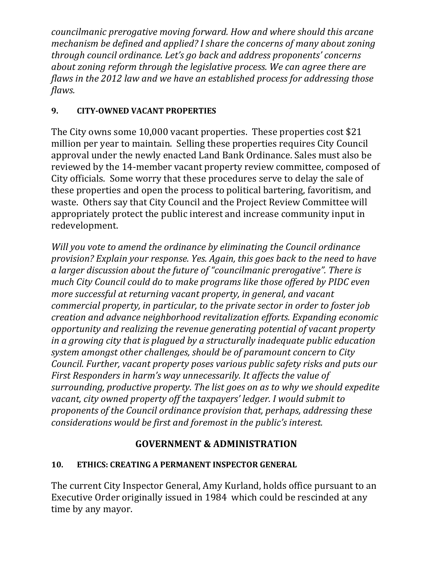*councilmanic prerogative moving forward. How and where should this arcane mechanism be defined and applied? I share the concerns of many about zoning through council ordinance. Let's go back and address proponents' concerns about zoning reform through the legislative process. We can agree there are flaws in the 2012 law and we have an established process for addressing those* flaws.

# **9. CITY‐OWNED VACANT PROPERTIES**

The City owns some 10,000 vacant properties. These properties cost \$21 million per year to maintain. Selling these properties requires City Council approval under the newly enacted Land Bank Ordinance. Sales must also be reviewed by the 14-member vacant property review committee, composed of City officials. Some worry that these procedures serve to delay the sale of these properties and open the process to political bartering, favoritism, and waste. Others say that City Council and the Project Review Committee will appropriately protect the public interest and increase community input in redevelopment. 

*Will you vote to amend the ordinance by eliminating the Council ordinance provision? Explain your response. Yes. Again, this goes back to the need to have a larger discussion about the future of "councilmanic prerogative". There is much City Council could do to make programs like those offered by PIDC even more successful at returning vacant property, in general, and vacant commercial property, in particular, to the private sector in order to foster job creation and advance neighborhood revitalization efforts. Expanding economic opportunity and realizing the revenue generating potential of vacant property in a growing city that is plagued by a structurally inadequate public education system amongst other challenges, should be of paramount concern to City Council. Further, vacant property poses various public safety risks and puts our First Responders in harm's way unnecessarily. It affects the value of surrounding, productive property. The list goes on as to why we should expedite vacant, city owned property off the taxpayers' ledger. I would submit to proponents of the Council ordinance provision that, perhaps, addressing these considerations would be first and foremost in the public's interest.* 

# **GOVERNMENT & ADMINISTRATION**

# **10. ETHICS: CREATING A PERMANENT INSPECTOR GENERAL**

The current City Inspector General, Amy Kurland, holds office pursuant to an Executive Order originally issued in 1984 which could be rescinded at any time by any mayor.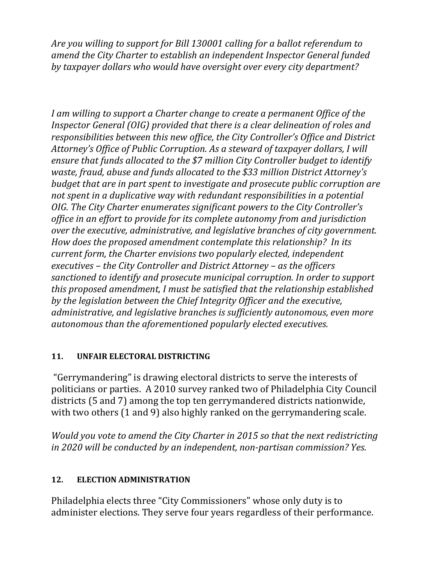*Are you willing to support for Bill 130001 calling for a ballot referendum to amend the City Charter to establish an independent Inspector General funded by taxpayer dollars who would have oversight over every city department?* 

*I am willing to support a Charter change to create a permanent Office of the Inspector General (OIG) provided that there is a clear delineation of roles and responsibilities between this new office, the City Controller's Office and District Attorney's Office of Public Corruption. As a steward of taxpayer dollars, I will ensure that funds allocated to the \$7 million City Controller budget to identify waste, fraud, abuse and funds allocated to the \$33 million District Attorney's budget that are in part spent to investigate and prosecute public corruption are not spent in a duplicative way with redundant responsibilities in a potential OIG. The City Charter enumerates significant powers to the City Controller's office in an effort to provide for its complete autonomy from and jurisdiction over the executive, administrative, and legislative branches of city government. How does the proposed amendment contemplate this relationship? In its current form, the Charter envisions two popularly elected, independent executives – the City Controller and District Attorney – as the officers sanctioned to identify and prosecute municipal corruption. In order to support this proposed amendment, I must be satisfied that the relationship established by the legislation between the Chief Integrity Officer and the executive, administrative, and legislative branches is sufficiently autonomous, even more autonomous than the aforementioned popularly elected executives.*

### 11. **UNFAIR ELECTORAL DISTRICTING**

"Gerrymandering" is drawing electoral districts to serve the interests of politicians or parties. A 2010 survey ranked two of Philadelphia City Council districts (5 and 7) among the top ten gerrymandered districts nationwide, with two others  $(1 \text{ and } 9)$  also highly ranked on the gerrymandering scale.

*Would you vote to amend the City Charter in 2015 so that the next redistricting in 2020 will be conducted by an independent, non‐partisan commission? Yes.* 

# 12. **ELECTION ADMINISTRATION**

Philadelphia elects three "City Commissioners" whose only duty is to administer elections. They serve four years regardless of their performance.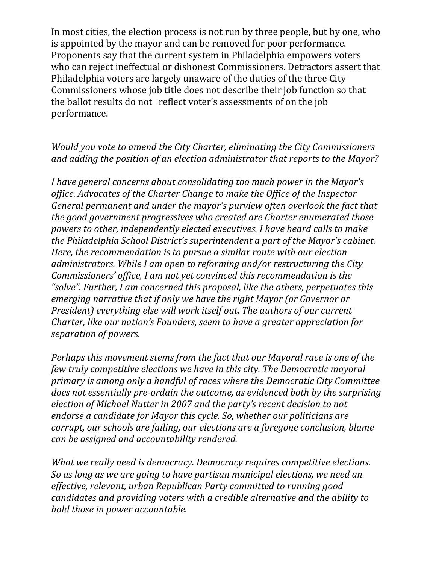In most cities, the election process is not run by three people, but by one, who is appointed by the mayor and can be removed for poor performance. Proponents say that the current system in Philadelphia empowers voters who can reject ineffectual or dishonest Commissioners. Detractors assert that Philadelphia voters are largely unaware of the duties of the three City Commissioners whose job title does not describe their job function so that the ballot results do not reflect voter's assessments of on the job performance. 

### *Would you vote to amend the City Charter, eliminating the City Commissioners and adding the position of an election administrator that reports to the Mayor?*

*I have general concerns about consolidating too much power in the Mayor's office. Advocates of the Charter Change to make the Office of the Inspector General permanent and under the mayor's purview often overlook the fact that the good government progressives who created are Charter enumerated those powers to other, independently elected executives. I have heard calls to make the Philadelphia School District's superintendent a part of the Mayor's cabinet. Here, the recommendation is to pursue a similar route with our election administrators. While I am open to reforming and/or restructuring the City Commissioners' office, I am not yet convinced this recommendation is the "solve". Further, I am concerned this proposal, like the others, perpetuates this emerging narrative that if only we have the right Mayor (or Governor or President) everything else will work itself out. The authors of our current Charter, like our nation's Founders, seem to have a greater appreciation for separation of powers.* 

*Perhaps this movement stems from the fact that our Mayoral race is one of the few truly competitive elections we have in this city. The Democratic mayoral primary is among only a handful of races where the Democratic City Committee does not essentially pre‐ordain the outcome, as evidenced both by the surprising election of Michael Nutter in 2007 and the party's recent decision to not endorse a candidate for Mayor this cycle. So, whether our politicians are corrupt, our schools are failing, our elections are a foregone conclusion, blame can be assigned and accountability rendered.* 

*What we really need is democracy. Democracy requires competitive elections. So as long as we are going to have partisan municipal elections, we need an effective, relevant, urban Republican Party committed to running good candidates and providing voters with a credible alternative and the ability to hold those in power accountable.*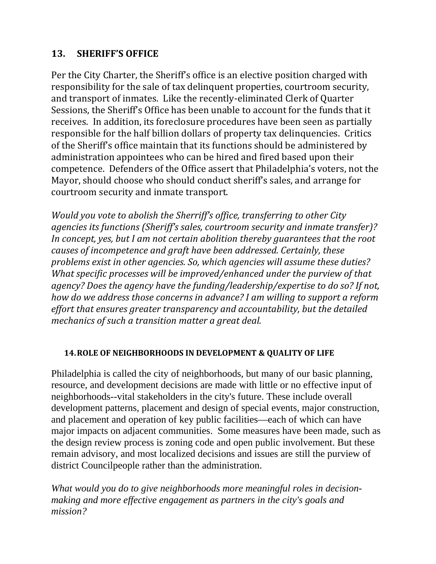### 13. **SHERIFF'S OFFICE**

Per the City Charter, the Sheriff's office is an elective position charged with responsibility for the sale of tax delinquent properties, courtroom security, and transport of inmates. Like the recently-eliminated Clerk of Quarter Sessions, the Sheriff's Office has been unable to account for the funds that it receives. In addition, its foreclosure procedures have been seen as partially responsible for the half billion dollars of property tax delinquencies. Critics of the Sheriff's office maintain that its functions should be administered by administration appointees who can be hired and fired based upon their competence. Defenders of the Office assert that Philadelphia's voters, not the Mayor, should choose who should conduct sheriff's sales, and arrange for courtroom security and inmate transport.

*Would you vote to abolish the Sherriff's office, transferring to other City agencies its functions (Sheriff's sales, courtroom security and inmate transfer)? In concept, yes, but I am not certain abolition thereby guarantees that the root causes of incompetence and graft have been addressed. Certainly, these problems exist in other agencies. So, which agencies will assume these duties? What specific processes will be improved/enhanced under the purview of that agency? Does the agency have the funding/leadership/expertise to do so? If not, how do we address those concerns in advance? I am willing to support a reform effort that ensures greater transparency and accountability, but the detailed mechanics of such a transition matter a great deal.* 

#### **14.ROLE OF NEIGHBORHOODS IN DEVELOPMENT & QUALITY OF LIFE**

Philadelphia is called the city of neighborhoods, but many of our basic planning, resource, and development decisions are made with little or no effective input of neighborhoods--vital stakeholders in the city's future. These include overall development patterns, placement and design of special events, major construction, and placement and operation of key public facilities—each of which can have major impacts on adjacent communities. Some measures have been made, such as the design review process is zoning code and open public involvement. But these remain advisory, and most localized decisions and issues are still the purview of district Councilpeople rather than the administration.

*What would you do to give neighborhoods more meaningful roles in decisionmaking and more effective engagement as partners in the city's goals and mission?*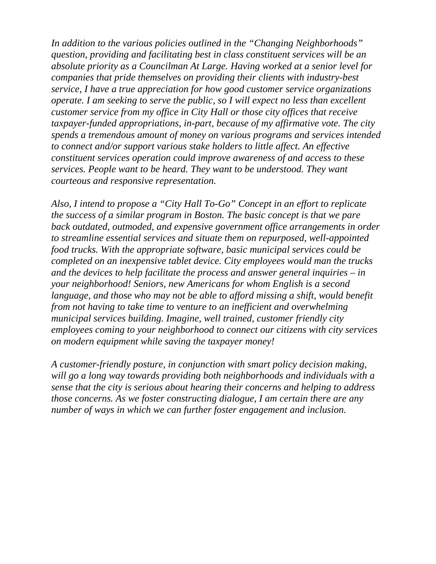*In addition to the various policies outlined in the "Changing Neighborhoods" question, providing and facilitating best in class constituent services will be an absolute priority as a Councilman At Large. Having worked at a senior level for companies that pride themselves on providing their clients with industry-best service, I have a true appreciation for how good customer service organizations operate. I am seeking to serve the public, so I will expect no less than excellent customer service from my office in City Hall or those city offices that receive taxpayer-funded appropriations, in-part, because of my affirmative vote. The city spends a tremendous amount of money on various programs and services intended to connect and/or support various stake holders to little affect. An effective constituent services operation could improve awareness of and access to these services. People want to be heard. They want to be understood. They want courteous and responsive representation.* 

*Also, I intend to propose a "City Hall To-Go" Concept in an effort to replicate the success of a similar program in Boston. The basic concept is that we pare back outdated, outmoded, and expensive government office arrangements in order to streamline essential services and situate them on repurposed, well-appointed food trucks. With the appropriate software, basic municipal services could be completed on an inexpensive tablet device. City employees would man the trucks and the devices to help facilitate the process and answer general inquiries – in your neighborhood! Seniors, new Americans for whom English is a second language, and those who may not be able to afford missing a shift, would benefit from not having to take time to venture to an inefficient and overwhelming municipal services building. Imagine, well trained, customer friendly city employees coming to your neighborhood to connect our citizens with city services on modern equipment while saving the taxpayer money!* 

*A customer-friendly posture, in conjunction with smart policy decision making, will go a long way towards providing both neighborhoods and individuals with a sense that the city is serious about hearing their concerns and helping to address those concerns. As we foster constructing dialogue, I am certain there are any number of ways in which we can further foster engagement and inclusion.*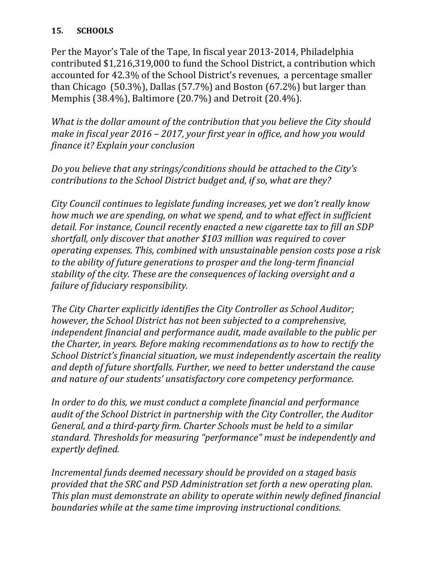#### **15. SCHOOLS**

Per the Mayor's Tale of the Tape, In fiscal year 2013-2014, Philadelphia contributed \$1,216,319,000 to fund the School District, a contribution which accounted for 42.3% of the School District's revenues, a percentage smaller than Chicago  $(50.3\%)$ , Dallas  $(57.7\%)$  and Boston  $(67.2\%)$  but larger than Memphis (38.4%), Baltimore (20.7%) and Detroit (20.4%).

*What is the dollar amount of the contribution that you believe the City should make in fiscal year 2016 – 2017, your first year in office, and how you would finance it? Explain your conclusion*

*Do you believe that any strings/conditions should be attached to the City's contributions to the School District budget and, if so, what are they?* 

*City Council continues to legislate funding increases, yet we don't really know how much we are spending, on what we spend, and to what effect in sufficient detail. For instance, Council recently enacted a new cigarette tax to fill an SDP shortfall, only discover that another \$103 million was required to cover operating expenses. This, combined with unsustainable pension costs pose a risk to the ability of future generations to prosper and the long‐term financial stability of the city. These are the consequences of lacking oversight and a failure of fiduciary responsibility.*

*The City Charter explicitly identifies the City Controller as School Auditor; however, the School District has not been subjected to a comprehensive, independent financial and performance audit, made available to the public per the Charter, in years. Before making recommendations as to how to rectify the School District's financial situation, we must independently ascertain the reality and depth of future shortfalls. Further, we need to better understand the cause and nature of our students' unsatisfactory core competency performance.*

*In order to do this, we must conduct a complete financial and performance audit of the School District in partnership with the City Controller, the Auditor General, and a third‐party firm. Charter Schools must be held to a similar standard. Thresholds for measuring "performance" must be independently and expertly defined.*

*Incremental funds deemed necessary should be provided on a staged basis provided that the SRC and PSD Administration set forth a new operating plan. This plan must demonstrate an ability to operate within newly defined financial boundaries while at the same time improving instructional conditions.*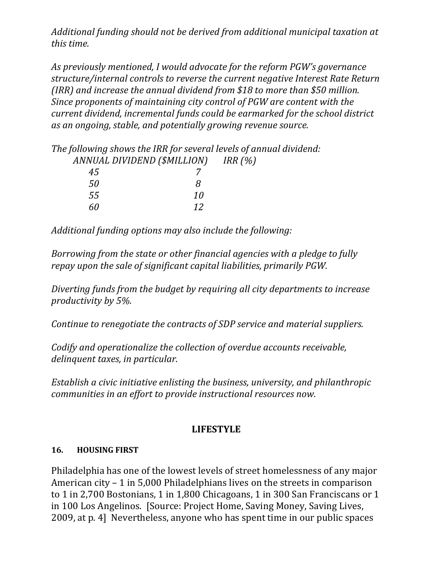*Additional funding should not be derived from additional municipal taxation at this time.*

*As previously mentioned, I would advocate for the reform PGW's governance structure/internal controls to reverse the current negative Interest Rate Return (IRR) and increase the annual dividend from \$18 to more than \$50 million. Since proponents of maintaining city control of PGW are content with the current dividend, incremental funds could be earmarked for the school district as an ongoing, stable, and potentially growing revenue source.* 

| The following shows the IRR for several levels of annual dividend: |    |  |  |  |  |
|--------------------------------------------------------------------|----|--|--|--|--|
| ANNUAL DIVIDEND (\$MILLION) IRR (%)                                |    |  |  |  |  |
| 45                                                                 |    |  |  |  |  |
| 50                                                                 | Я  |  |  |  |  |
| .55                                                                | 10 |  |  |  |  |
|                                                                    | 19 |  |  |  |  |

*Additional funding options may also include the following:*

*Borrowing from the state or other financial agencies with a pledge to fully repay upon the sale of significant capital liabilities, primarily PGW.*

*Diverting funds from the budget by requiring all city departments to increase productivity by 5%.*

*Continue to renegotiate the contracts of SDP service and material suppliers.*

*Codify and operationalize the collection of overdue accounts receivable, delinquent taxes, in particular.*

*Establish a civic initiative enlisting the business, university, and philanthropic communities in an effort to provide instructional resources now.*

# **LIFESTYLE**

### **16. HOUSING FIRST**

Philadelphia has one of the lowest levels of street homelessness of any major American  $city - 1$  in 5,000 Philadelphians lives on the streets in comparison to 1 in 2,700 Bostonians, 1 in 1,800 Chicagoans, 1 in 300 San Franciscans or 1 in 100 Los Angelinos. [Source: Project Home, Saving Money, Saving Lives, 2009, at p. 4] Nevertheless, anyone who has spent time in our public spaces